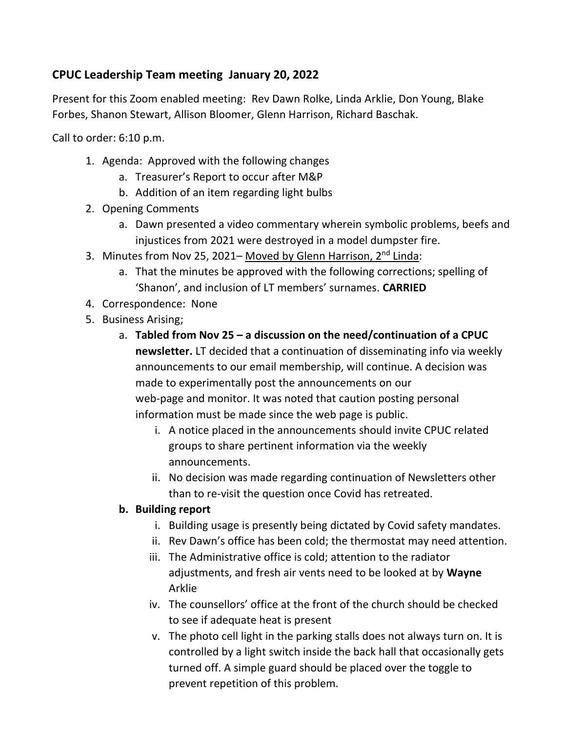## **CPUC Leadership Team meeting January 20, 2022**

Present for this Zoom enabled meeting: Rev Dawn Rolke, Linda Arklie, Don Young, Blake Forbes, Shanon Stewart, Allison Bloomer, Glenn Harrison, Richard Baschak.

Call to order: 6:10 p.m.

- 1. Agenda: Approved with the following changes
	- a. Treasurer's Report to occur after M&P
	- b. Addition of an item regarding light bulbs
- 2. Opening Comments
	- a. Dawn presented a video commentary wherein symbolic problems, beefs and injustices from 2021 were destroyed in a model dumpster fire.
- 3. Minutes from Nov 25, 2021– Moved by Glenn Harrison, 2<sup>nd</sup> Linda:
	- a. That the minutes be approved with the following corrections; spelling of 'Shanon', and inclusion of LT members' surnames. **CARRIED**
- 4. Correspondence: None
- 5. Business Arising;
	- a. **Tabled from Nov 25 – a discussion on the need/continuation of a CPUC newsletter.** LT decided that a continuation of disseminating info via weekly announcements to our email membership, will continue. A decision was made to experimentally post the announcements on our web-page and monitor. It was noted that caution posting personal information must be made since the web page is public.
		- i. A notice placed in the announcements should invite CPUC related groups to share pertinent information via the weekly announcements.
		- ii. No decision was made regarding continuation of Newsletters other than to re-visit the question once Covid has retreated.

## **b. Building report**

- i. Building usage is presently being dictated by Covid safety mandates.
- ii. Rev Dawn's office has been cold; the thermostat may need attention.
- iii. The Administrative office is cold; attention to the radiator adjustments, and fresh air vents need to be looked at by **Wayne** Arklie
- iv. The counsellors' office at the front of the church should be checked to see if adequate heat is present
- v. The photo cell light in the parking stalls does not always turn on. It is controlled by a light switch inside the back hall that occasionally gets turned off. A simple guard should be placed over the toggle to prevent repetition of this problem.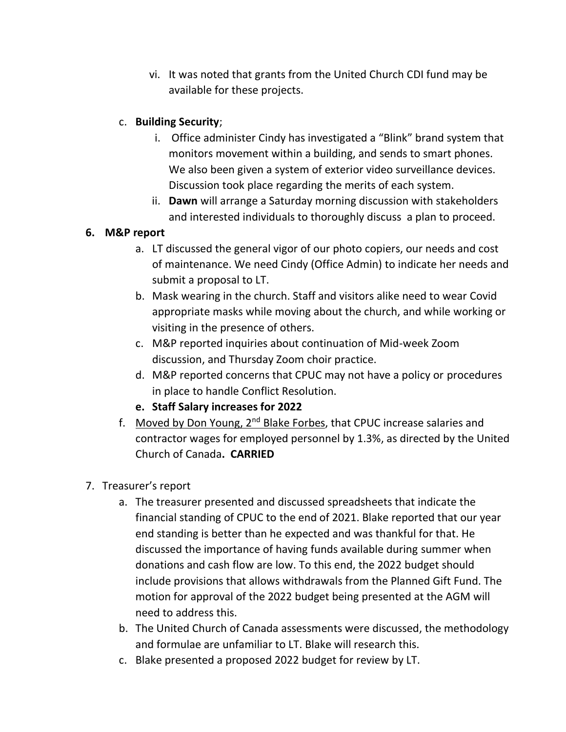vi. It was noted that grants from the United Church CDI fund may be available for these projects.

## c. **Building Security**;

- i. Office administer Cindy has investigated a "Blink" brand system that monitors movement within a building, and sends to smart phones. We also been given a system of exterior video surveillance devices. Discussion took place regarding the merits of each system.
- ii. **Dawn** will arrange a Saturday morning discussion with stakeholders and interested individuals to thoroughly discuss a plan to proceed.

## **6. M&P report**

- a. LT discussed the general vigor of our photo copiers, our needs and cost of maintenance. We need Cindy (Office Admin) to indicate her needs and submit a proposal to LT.
- b. Mask wearing in the church. Staff and visitors alike need to wear Covid appropriate masks while moving about the church, and while working or visiting in the presence of others.
- c. M&P reported inquiries about continuation of Mid-week Zoom discussion, and Thursday Zoom choir practice.
- d. M&P reported concerns that CPUC may not have a policy or procedures in place to handle Conflict Resolution.
- **e. Staff Salary increases for 2022**
- f. Moved by Don Young, 2<sup>nd</sup> Blake Forbes, that CPUC increase salaries and contractor wages for employed personnel by 1.3%, as directed by the United Church of Canada**. CARRIED**
- 7. Treasurer's report
	- a. The treasurer presented and discussed spreadsheets that indicate the financial standing of CPUC to the end of 2021. Blake reported that our year end standing is better than he expected and was thankful for that. He discussed the importance of having funds available during summer when donations and cash flow are low. To this end, the 2022 budget should include provisions that allows withdrawals from the Planned Gift Fund. The motion for approval of the 2022 budget being presented at the AGM will need to address this.
	- b. The United Church of Canada assessments were discussed, the methodology and formulae are unfamiliar to LT. Blake will research this.
	- c. Blake presented a proposed 2022 budget for review by LT.